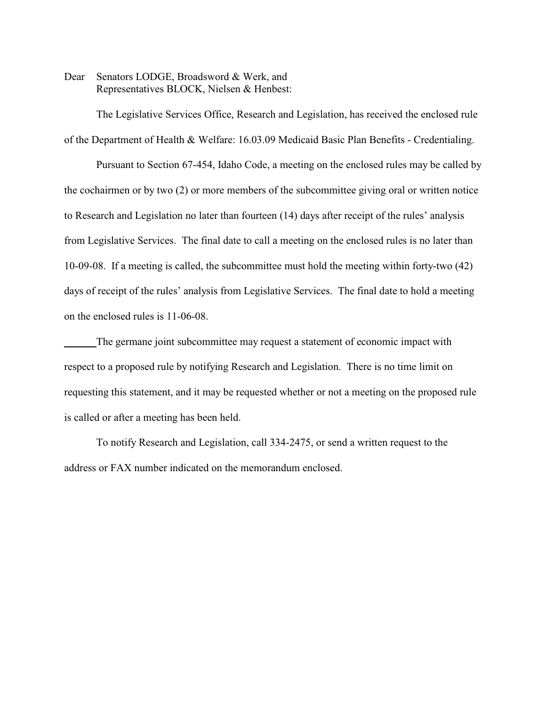Dear Senators LODGE, Broadsword & Werk, and Representatives BLOCK, Nielsen & Henbest:

The Legislative Services Office, Research and Legislation, has received the enclosed rule of the Department of Health & Welfare: 16.03.09 Medicaid Basic Plan Benefits - Credentialing.

Pursuant to Section 67-454, Idaho Code, a meeting on the enclosed rules may be called by the cochairmen or by two (2) or more members of the subcommittee giving oral or written notice to Research and Legislation no later than fourteen (14) days after receipt of the rules' analysis from Legislative Services. The final date to call a meeting on the enclosed rules is no later than 10-09-08. If a meeting is called, the subcommittee must hold the meeting within forty-two (42) days of receipt of the rules' analysis from Legislative Services. The final date to hold a meeting on the enclosed rules is 11-06-08.

The germane joint subcommittee may request a statement of economic impact with respect to a proposed rule by notifying Research and Legislation. There is no time limit on requesting this statement, and it may be requested whether or not a meeting on the proposed rule is called or after a meeting has been held.

To notify Research and Legislation, call 334-2475, or send a written request to the address or FAX number indicated on the memorandum enclosed.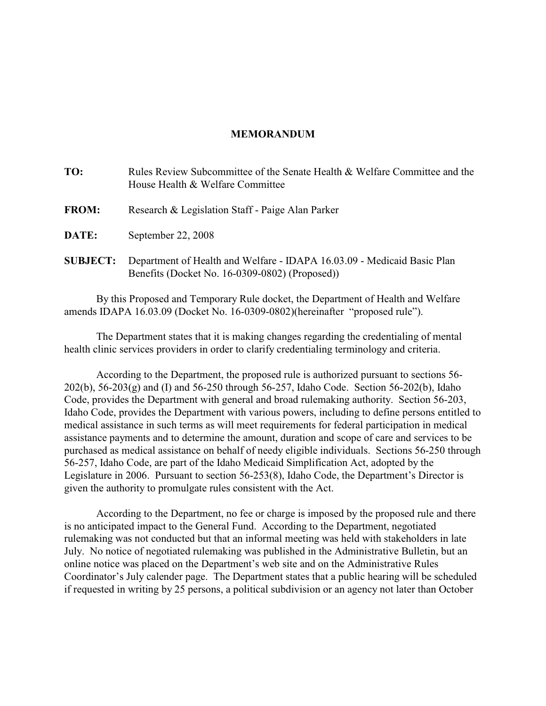## **MEMORANDUM**

| TO:             | Rules Review Subcommittee of the Senate Health & Welfare Committee and the<br>House Health & Welfare Committee            |
|-----------------|---------------------------------------------------------------------------------------------------------------------------|
| <b>FROM:</b>    | Research & Legislation Staff - Paige Alan Parker                                                                          |
| DATE:           | September 22, 2008                                                                                                        |
| <b>SUBJECT:</b> | Department of Health and Welfare - IDAPA 16.03.09 - Medicaid Basic Plan<br>Benefits (Docket No. 16-0309-0802) (Proposed)) |

By this Proposed and Temporary Rule docket, the Department of Health and Welfare amends IDAPA 16.03.09 (Docket No. 16-0309-0802)(hereinafter "proposed rule").

The Department states that it is making changes regarding the credentialing of mental health clinic services providers in order to clarify credentialing terminology and criteria.

According to the Department, the proposed rule is authorized pursuant to sections 56- 202(b), 56-203(g) and (I) and 56-250 through 56-257, Idaho Code. Section 56-202(b), Idaho Code, provides the Department with general and broad rulemaking authority. Section 56-203, Idaho Code, provides the Department with various powers, including to define persons entitled to medical assistance in such terms as will meet requirements for federal participation in medical assistance payments and to determine the amount, duration and scope of care and services to be purchased as medical assistance on behalf of needy eligible individuals. Sections 56-250 through 56-257, Idaho Code, are part of the Idaho Medicaid Simplification Act, adopted by the Legislature in 2006. Pursuant to section 56-253(8), Idaho Code, the Department's Director is given the authority to promulgate rules consistent with the Act.

According to the Department, no fee or charge is imposed by the proposed rule and there is no anticipated impact to the General Fund. According to the Department, negotiated rulemaking was not conducted but that an informal meeting was held with stakeholders in late July. No notice of negotiated rulemaking was published in the Administrative Bulletin, but an online notice was placed on the Department's web site and on the Administrative Rules Coordinator's July calender page. The Department states that a public hearing will be scheduled if requested in writing by 25 persons, a political subdivision or an agency not later than October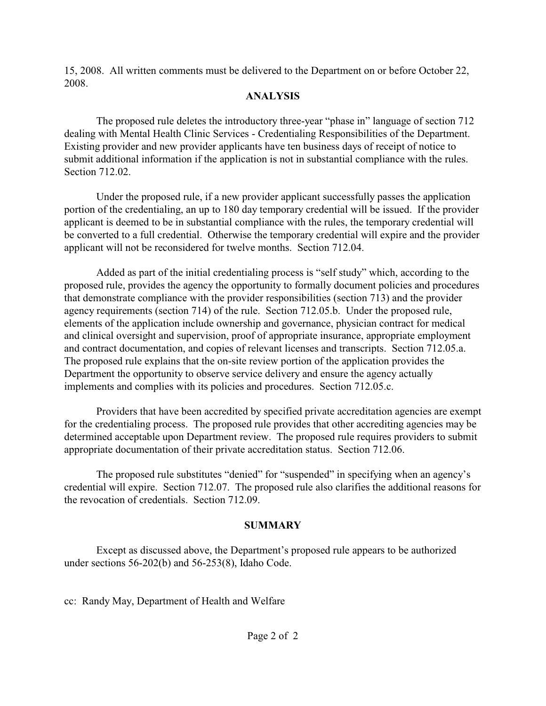15, 2008. All written comments must be delivered to the Department on or before October 22, 2008.

## **ANALYSIS**

The proposed rule deletes the introductory three-year "phase in" language of section 712 dealing with Mental Health Clinic Services - Credentialing Responsibilities of the Department. Existing provider and new provider applicants have ten business days of receipt of notice to submit additional information if the application is not in substantial compliance with the rules. Section 712.02.

Under the proposed rule, if a new provider applicant successfully passes the application portion of the credentialing, an up to 180 day temporary credential will be issued. If the provider applicant is deemed to be in substantial compliance with the rules, the temporary credential will be converted to a full credential. Otherwise the temporary credential will expire and the provider applicant will not be reconsidered for twelve months. Section 712.04.

Added as part of the initial credentialing process is "self study" which, according to the proposed rule, provides the agency the opportunity to formally document policies and procedures that demonstrate compliance with the provider responsibilities (section 713) and the provider agency requirements (section 714) of the rule. Section 712.05.b. Under the proposed rule, elements of the application include ownership and governance, physician contract for medical and clinical oversight and supervision, proof of appropriate insurance, appropriate employment and contract documentation, and copies of relevant licenses and transcripts. Section 712.05.a. The proposed rule explains that the on-site review portion of the application provides the Department the opportunity to observe service delivery and ensure the agency actually implements and complies with its policies and procedures. Section 712.05.c.

Providers that have been accredited by specified private accreditation agencies are exempt for the credentialing process. The proposed rule provides that other accrediting agencies may be determined acceptable upon Department review. The proposed rule requires providers to submit appropriate documentation of their private accreditation status. Section 712.06.

The proposed rule substitutes "denied" for "suspended" in specifying when an agency's credential will expire. Section 712.07. The proposed rule also clarifies the additional reasons for the revocation of credentials. Section 712.09.

# **SUMMARY**

Except as discussed above, the Department's proposed rule appears to be authorized under sections 56-202(b) and 56-253(8), Idaho Code.

cc: Randy May, Department of Health and Welfare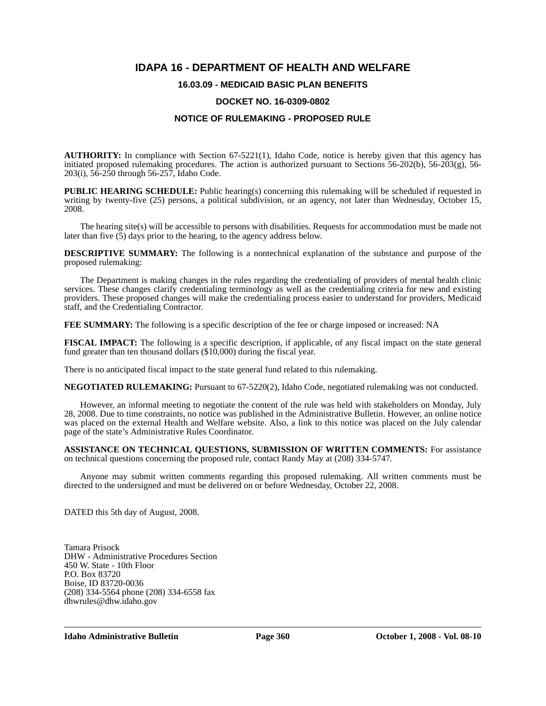## **IDAPA 16 - DEPARTMENT OF HEALTH AND WELFARE**

## **16.03.09 - MEDICAID BASIC PLAN BENEFITS**

### **DOCKET NO. 16-0309-0802**

### **NOTICE OF RULEMAKING - PROPOSED RULE**

**AUTHORITY:** In compliance with Section 67-5221(1), Idaho Code, notice is hereby given that this agency has initiated proposed rulemaking procedures. The action is authorized pursuant to Sections 56-202(b), 56-203(g), 56- 203(i), 56-250 through 56-257, Idaho Code.

**PUBLIC HEARING SCHEDULE:** Public hearing(s) concerning this rulemaking will be scheduled if requested in writing by twenty-five (25) persons, a political subdivision, or an agency, not later than Wednesday, October 15, 2008.

The hearing site(s) will be accessible to persons with disabilities. Requests for accommodation must be made not later than five (5) days prior to the hearing, to the agency address below.

**DESCRIPTIVE SUMMARY:** The following is a nontechnical explanation of the substance and purpose of the proposed rulemaking:

The Department is making changes in the rules regarding the credentialing of providers of mental health clinic services. These changes clarify credentialing terminology as well as the credentialing criteria for new and existing providers. These proposed changes will make the credentialing process easier to understand for providers, Medicaid staff, and the Credentialing Contractor.

**FEE SUMMARY:** The following is a specific description of the fee or charge imposed or increased: NA

**FISCAL IMPACT:** The following is a specific description, if applicable, of any fiscal impact on the state general fund greater than ten thousand dollars (\$10,000) during the fiscal year.

There is no anticipated fiscal impact to the state general fund related to this rulemaking.

**NEGOTIATED RULEMAKING:** Pursuant to 67-5220(2), Idaho Code, negotiated rulemaking was not conducted.

However, an informal meeting to negotiate the content of the rule was held with stakeholders on Monday, July 28, 2008. Due to time constraints, no notice was published in the Administrative Bulletin. However, an online notice was placed on the external Health and Welfare website. Also, a link to this notice was placed on the July calendar page of the state's Administrative Rules Coordinator.

**ASSISTANCE ON TECHNICAL QUESTIONS, SUBMISSION OF WRITTEN COMMENTS:** For assistance on technical questions concerning the proposed rule, contact Randy May at (208) 334-5747*.*

Anyone may submit written comments regarding this proposed rulemaking. All written comments must be directed to the undersigned and must be delivered on or before Wednesday, October 22, 2008.

DATED this 5th day of August, 2008.

Tamara Prisock DHW - Administrative Procedures Section 450 W. State - 10th Floor P.O. Box 83720 Boise, ID 83720-0036 (208) 334-5564 phone (208) 334-6558 fax <dhwrules@dhw.idaho.gov>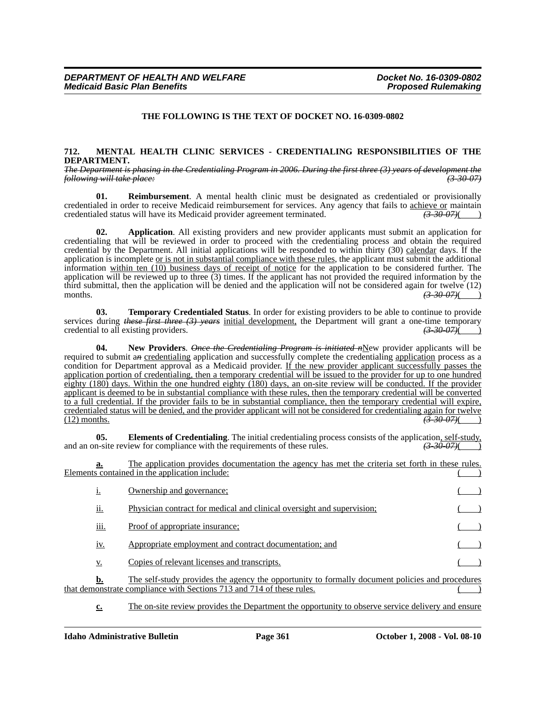### **THE FOLLOWING IS THE TEXT OF DOCKET NO. 16-0309-0802**

#### **712. MENTAL HEALTH CLINIC SERVICES - CREDENTIALING RESPONSIBILITIES OF THE DEPARTMENT.**

*The Department is phasing in the Credentialing Program in 2006. During the first three (3) years of development the following will take place: (3-30-07)*

**01. Reimbursement**. A mental health clinic must be designated as credentialed or provisionally credentialed in order to receive Medicaid reimbursement for services. Any agency that fails to <u>achieve or</u> maintain credentialed status will have its Medicaid provider agreement terminated.  $\overline{(3-30-07)}$ credentialed status will have its Medicaid provider agreement terminated.

**02.** Application. All existing providers and new provider applicants must submit an application for credentialing that will be reviewed in order to proceed with the credentialing process and obtain the required credential by the Department. All initial applications will be responded to within thirty (30) calendar days. If the application is incomplete or is not in substantial compliance with these rules, the applicant must submit the additional information within ten (10) business days of receipt of notice for the application to be considered further. The application will be reviewed up to three (3) times. If the applicant has not provided the required information by the third submittal, then the application will be denied and the application will not be considered again for twelve (12) months.  $\left(3-30-07\right)$ months. *(3-30-07)*( )

**03. Temporary Credentialed Status**. In order for existing providers to be able to continue to provide services during *these first three (3) years* initial development, the Department will grant a one-time temporary credential to all existing providers. credential to all existing providers.

**04.** New Providers. *Once the Credentialing Program is initiated n*New provider applicants will be required to submit a*n* credentialing application and successfully complete the credentialing application process as a condition for Department approval as a Medicaid provider. If the new provider applicant successfully passes the application portion of credentialing, then a temporary credential will be issued to the provider for up to one hundred eighty  $(180)$  days. Within the one hundred eighty  $(180)$  days, an on-site review will be conducted. If the provider applicant is deemed to be in substantial compliance with these rules, then the temporary credential will be converted to a full credential. If the provider fails to be in substantial compliance, then the temporary credential will expire, credentialed status will be denied, and the provider applicant will not be considered for credentialing again for twelve (12) months. (12) months. *(3-30-07)*( )

**05. Elements of Credentialing**. The initial credentialing process consists of the application, self-study, n-site review for compliance with the requirements of these rules.  $\left(3\text{-}30\text{-}07\right)$ and an on-site review for compliance with the requirements of these rules.

The application provides documentation the agency has met the criteria set forth in these rules. Elements contained in the application include:

| 1.               | Ownership and governance;                                                                       |  |
|------------------|-------------------------------------------------------------------------------------------------|--|
| . .<br>ii.       | Physician contract for medical and clinical oversight and supervision:                          |  |
| $\cdots$<br>111. | <u>Proof of appropriate insurance;</u>                                                          |  |
| 1V.              | Appropriate employment and contract documentation; and                                          |  |
| <u>v.</u>        | Copies of relevant licenses and transcripts.                                                    |  |
| <u>b.</u>        | The self-study provides the agency the opportunity to formally document policies and procedures |  |

that demonstrate compliance with Sections 713 and 714 of these rules.

**c.** The on-site review provides the Department the opportunity to observe service delivery and ensure